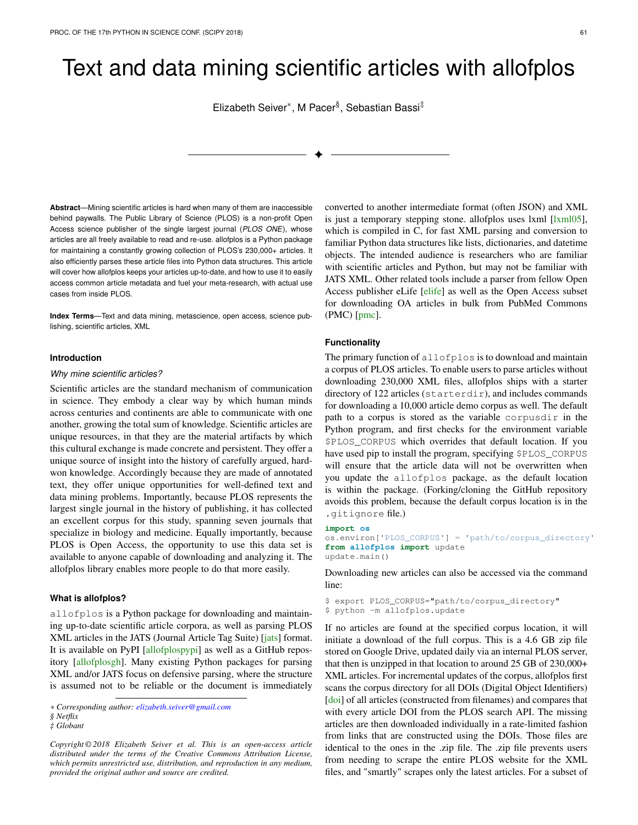# Text and data mining scientific articles with allofplos

Elizabeth Seiver<sup>∗</sup>, M Pacer<sup>§</sup>, Sebastian Bassi<sup>‡</sup>

✦

**Abstract**—Mining scientific articles is hard when many of them are inaccessible behind paywalls. The Public Library of Science (PLOS) is a non-profit Open Access science publisher of the single largest journal (*PLOS ONE*), whose articles are all freely available to read and re-use. allofplos is a Python package for maintaining a constantly growing collection of PLOS's 230,000+ articles. It also efficiently parses these article files into Python data structures. This article will cover how allofplos keeps your articles up-to-date, and how to use it to easily access common article metadata and fuel your meta-research, with actual use cases from inside PLOS.

**Index Terms**—Text and data mining, metascience, open access, science publishing, scientific articles, XML

## **Introduction**

#### *Why mine scientific articles?*

Scientific articles are the standard mechanism of communication in science. They embody a clear way by which human minds across centuries and continents are able to communicate with one another, growing the total sum of knowledge. Scientific articles are unique resources, in that they are the material artifacts by which this cultural exchange is made concrete and persistent. They offer a unique source of insight into the history of carefully argued, hardwon knowledge. Accordingly because they are made of annotated text, they offer unique opportunities for well-defined text and data mining problems. Importantly, because PLOS represents the largest single journal in the history of publishing, it has collected an excellent corpus for this study, spanning seven journals that specialize in biology and medicine. Equally importantly, because PLOS is Open Access, the opportunity to use this data set is available to anyone capable of downloading and analyzing it. The allofplos library enables more people to do that more easily.

#### **What is allofplos?**

allofplos is a Python package for downloading and maintaining up-to-date scientific article corpora, as well as parsing PLOS XML articles in the JATS (Journal Article Tag Suite) [\[jats\]](#page-2-0) format. It is available on PyPI [\[allofplospypi\]](#page-2-1) as well as a GitHub repository [\[allofplosgh\]](#page-2-2). Many existing Python packages for parsing XML and/or JATS focus on defensive parsing, where the structure is assumed not to be reliable or the document is immediately

*\* Corresponding author: [elizabeth.seiver@gmail.com](mailto:elizabeth.seiver@gmail.com)*

*Copyright © 2018 Elizabeth Seiver et al. This is an open-access article distributed under the terms of the Creative Commons Attribution License, which permits unrestricted use, distribution, and reproduction in any medium, provided the original author and source are credited.*

converted to another intermediate format (often JSON) and XML is just a temporary stepping stone. allofplos uses lxml [\[lxml05\]](#page-2-3), which is compiled in C, for fast XML parsing and conversion to familiar Python data structures like lists, dictionaries, and datetime objects. The intended audience is researchers who are familiar with scientific articles and Python, but may not be familiar with JATS XML. Other related tools include a parser from fellow Open Access publisher eLife [\[elife\]](#page-2-4) as well as the Open Access subset for downloading OA articles in bulk from PubMed Commons (PMC) [\[pmc\]](#page-3-0).

# **Functionality**

The primary function of allofplos is to download and maintain a corpus of PLOS articles. To enable users to parse articles without downloading 230,000 XML files, allofplos ships with a starter directory of 122 articles (starterdir), and includes commands for downloading a 10,000 article demo corpus as well. The default path to a corpus is stored as the variable corpusdir in the Python program, and first checks for the environment variable \$PLOS\_CORPUS which overrides that default location. If you have used pip to install the program, specifying \$PLOS\_CORPUS will ensure that the article data will not be overwritten when you update the allofplos package, as the default location is within the package. (Forking/cloning the GitHub repository avoids this problem, because the default corpus location is in the .gitignore file.)

**import os** os.environ['PLOS\_CORPUS'] = 'path/to/corpus\_directory' **from allofplos import** update update.main()

Downloading new articles can also be accessed via the command line:

```
$ export PLOS_CORPUS="path/to/corpus_directory"
$ python -m allofplos.update
```
If no articles are found at the specified corpus location, it will initiate a download of the full corpus. This is a 4.6 GB zip file stored on Google Drive, updated daily via an internal PLOS server, that then is unzipped in that location to around 25 GB of 230,000+ XML articles. For incremental updates of the corpus, allofplos first scans the corpus directory for all DOIs (Digital Object Identifiers) [\[doi\]](#page-3-1) of all articles (constructed from filenames) and compares that with every article DOI from the PLOS search API. The missing articles are then downloaded individually in a rate-limited fashion from links that are constructed using the DOIs. Those files are identical to the ones in the .zip file. The .zip file prevents users from needing to scrape the entire PLOS website for the XML files, and "smartly" scrapes only the latest articles. For a subset of

*<sup>§</sup> Netflix*

*<sup>‡</sup> Globant*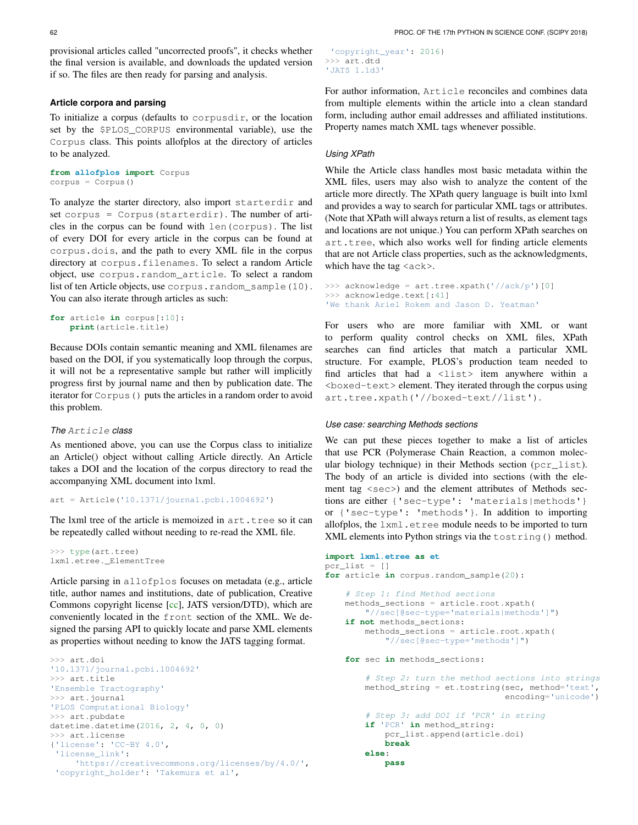provisional articles called "uncorrected proofs", it checks whether the final version is available, and downloads the updated version if so. The files are then ready for parsing and analysis.

# **Article corpora and parsing**

To initialize a corpus (defaults to corpusdir, or the location set by the \$PLOS\_CORPUS environmental variable), use the Corpus class. This points allofplos at the directory of articles to be analyzed.

**from allofplos import** Corpus  $corpus = corpus()$ 

To analyze the starter directory, also import starterdir and  $set$  corpus = Corpus (starterdir). The number of articles in the corpus can be found with len(corpus). The list of every DOI for every article in the corpus can be found at corpus.dois, and the path to every XML file in the corpus directory at corpus.filenames. To select a random Article object, use corpus.random\_article. To select a random list of ten Article objects, use corpus.random\_sample(10). You can also iterate through articles as such:

```
for article in corpus[:10]:
   print(article.title)
```
Because DOIs contain semantic meaning and XML filenames are based on the DOI, if you systematically loop through the corpus, it will not be a representative sample but rather will implicitly progress first by journal name and then by publication date. The iterator for Corpus() puts the articles in a random order to avoid this problem.

# *The* Article *class*

As mentioned above, you can use the Corpus class to initialize an Article() object without calling Article directly. An Article takes a DOI and the location of the corpus directory to read the accompanying XML document into lxml.

```
art = Article('10.1371/journal.pcbi.1004692')
```
The lxml tree of the article is memoized in art.tree so it can be repeatedly called without needing to re-read the XML file.

```
>>> type(art.tree)
lxml.etree._ElementTree
```
Article parsing in allofplos focuses on metadata (e.g., article title, author names and institutions, date of publication, Creative Commons copyright license [\[cc\]](#page-2-5), JATS version/DTD), which are conveniently located in the front section of the XML. We designed the parsing API to quickly locate and parse XML elements as properties without needing to know the JATS tagging format.

```
>>> art.doi
'10.1371/journal.pcbi.1004692'
>>> art.title
'Ensemble Tractography'
>>> art.journal
'PLOS Computational Biology'
>>> art.pubdate
datetime.datetime(2016, 2, 4, 0, 0)
>>> art.license
{'license': 'CC-BY 4.0',
 'license_link':
     'https://creativecommons.org/licenses/by/4.0/',
 'copyright_holder': 'Takemura et al',
```
'copyright\_year': 2016} >>> art.dtd 'JATS 1.1d3'

For author information, Article reconciles and combines data from multiple elements within the article into a clean standard form, including author email addresses and affiliated institutions. Property names match XML tags whenever possible.

#### *Using XPath*

While the Article class handles most basic metadata within the XML files, users may also wish to analyze the content of the article more directly. The XPath query language is built into lxml and provides a way to search for particular XML tags or attributes. (Note that XPath will always return a list of results, as element tags and locations are not unique.) You can perform XPath searches on art.tree, which also works well for finding article elements that are not Article class properties, such as the acknowledgments, which have the tag  $\langle ack \rangle$ .

```
>>> acknowledge = art.tree.xpath('//ack/p')[0]
>>> acknowledge.text[:41]
'We thank Ariel Rokem and Jason D. Yeatman'
```
For users who are more familiar with XML or want to perform quality control checks on XML files, XPath searches can find articles that match a particular XML structure. For example, PLOS's production team needed to find articles that had a  $\langle$  list> item anywhere within a <boxed-text> element. They iterated through the corpus using art.tree.xpath('//boxed-text//list').

#### *Use case: searching Methods sections*

We can put these pieces together to make a list of articles that use PCR (Polymerase Chain Reaction, a common molecular biology technique) in their Methods section (pcr\_list). The body of an article is divided into sections (with the element tag  $\langle$ sec>) and the element attributes of Methods sections are either {'sec-type': 'materials|methods'} or {'sec-type': 'methods'}. In addition to importing allofplos, the lxml.etree module needs to be imported to turn XML elements into Python strings via the tostring() method.

```
import lxml.etree as et
pcr_list = []
for article in corpus.random_sample(20):
    # Step 1: find Method sections
    methods sections = article.root.xpath(
        "//sec[@sec-type='materials|methods']")
    if not methods_sections:
        methods_sections = article.root.xpath(
            "//sec[@sec-type='methods']")
```
**for** sec **in** methods\_sections:

```
# Step 2: turn the method sections into strings
method_string = et.tostring(sec, method='text',
                            encoding='unicode')
```

```
# Step 3: add DOI if 'PCR' in string
if 'PCR' in method_string:
    pcr_list.append(article.doi)
    break
else:
   pass
```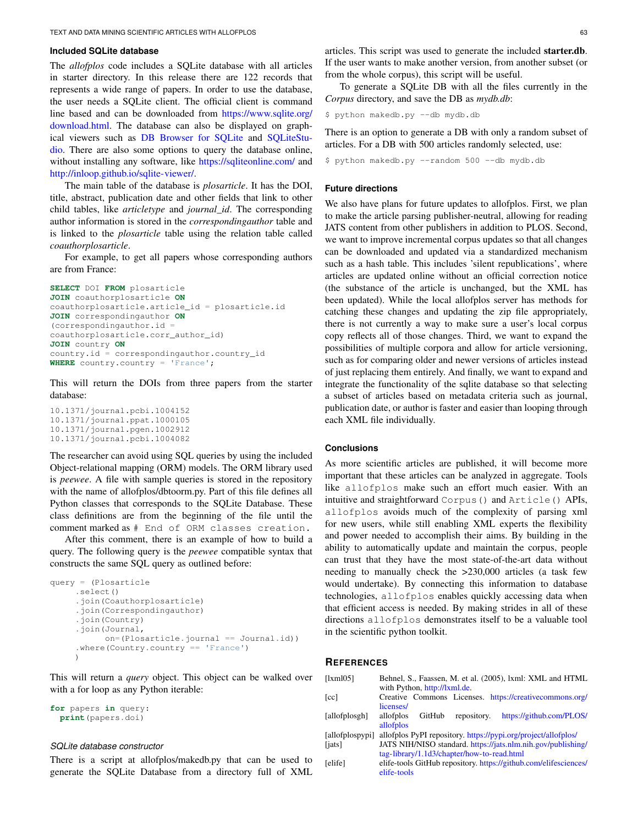#### **Included SQLite database**

The *allofplos* code includes a SQLite database with all articles in starter directory. In this release there are 122 records that represents a wide range of papers. In order to use the database, the user needs a SQLite client. The official client is command line based and can be downloaded from [https://www.sqlite.org/](https://www.sqlite.org/download.html) [download.html.](https://www.sqlite.org/download.html) The database can also be displayed on graphical viewers such as [DB Browser for SQLite](https://sqlitebrowser.org/) and [SQLiteStu](https://sqlitestudio.pl/index.rvt)[dio.](https://sqlitestudio.pl/index.rvt) There are also some options to query the database online, without installing any software, like <https://sqliteonline.com/> and [http://inloop.github.io/sqlite-viewer/.](http://inloop.github.io/sqlite-viewer/)

The main table of the database is *plosarticle*. It has the DOI, title, abstract, publication date and other fields that link to other child tables, like *articletype* and *journal\_id*. The corresponding author information is stored in the *correspondingauthor* table and is linked to the *plosarticle* table using the relation table called *coauthorplosarticle*.

For example, to get all papers whose corresponding authors are from France:

```
SELECT DOI FROM plosarticle
JOIN coauthorplosarticle ON
coauthorplosarticle.article_id = plosarticle.id
JOIN correspondingauthor ON
(correspondingauthor.id =
coauthorplosarticle.corr_author_id)
JOIN country ON
country.id = correspondingauthor.country_id
WHERE country.country = 'France';
```
This will return the DOIs from three papers from the starter database:

```
10.1371/journal.pcbi.1004152
10.1371/journal.ppat.1000105
10.1371/journal.pgen.1002912
10.1371/journal.pcbi.1004082
```
The researcher can avoid using SQL queries by using the included Object-relational mapping (ORM) models. The ORM library used is *peewee*. A file with sample queries is stored in the repository with the name of allofplos/dbtoorm.py. Part of this file defines all Python classes that corresponds to the SQLite Database. These class definitions are from the beginning of the file until the comment marked as # End of ORM classes creation.

After this comment, there is an example of how to build a query. The following query is the *peewee* compatible syntax that constructs the same SQL query as outlined before:

```
query = (Plosarticle
     .select()
     .join(Coauthorplosarticle)
     .join(Correspondingauthor)
     .join(Country)
     .join(Journal,
           on=(Plosarticle.journal == Journal.id))
     .where(Country.country == 'France')
     \lambda
```
This will return a *query* object. This object can be walked over with a for loop as any Python iterable:

```
for papers in query:
 print(papers.doi)
```
## *SQLite database constructor*

There is a script at allofplos/makedb.py that can be used to generate the SQLite Database from a directory full of XML articles. This script was used to generate the included starter.db. If the user wants to make another version, from another subset (or from the whole corpus), this script will be useful.

To generate a SQLite DB with all the files currently in the *Corpus* directory, and save the DB as *mydb.db*:

\$ python makedb.py --db mydb.db

There is an option to generate a DB with only a random subset of articles. For a DB with 500 articles randomly selected, use:

\$ python makedb.py --random 500 --db mydb.db

# **Future directions**

We also have plans for future updates to allofplos. First, we plan to make the article parsing publisher-neutral, allowing for reading JATS content from other publishers in addition to PLOS. Second, we want to improve incremental corpus updates so that all changes can be downloaded and updated via a standardized mechanism such as a hash table. This includes 'silent republications', where articles are updated online without an official correction notice (the substance of the article is unchanged, but the XML has been updated). While the local allofplos server has methods for catching these changes and updating the zip file appropriately, there is not currently a way to make sure a user's local corpus copy reflects all of those changes. Third, we want to expand the possibilities of multiple corpora and allow for article versioning, such as for comparing older and newer versions of articles instead of just replacing them entirely. And finally, we want to expand and integrate the functionality of the sqlite database so that selecting a subset of articles based on metadata criteria such as journal, publication date, or author is faster and easier than looping through each XML file individually.

#### **Conclusions**

As more scientific articles are published, it will become more important that these articles can be analyzed in aggregate. Tools like allofplos make such an effort much easier. With an intuitive and straightforward Corpus() and Article() APIs, allofplos avoids much of the complexity of parsing xml for new users, while still enabling XML experts the flexibility and power needed to accomplish their aims. By building in the ability to automatically update and maintain the corpus, people can trust that they have the most state-of-the-art data without needing to manually check the >230,000 articles (a task few would undertake). By connecting this information to database technologies, allofplos enables quickly accessing data when that efficient access is needed. By making strides in all of these directions allofplos demonstrates itself to be a valuable tool in the scientific python toolkit.

### **REFERENCES**

<span id="page-2-5"></span><span id="page-2-4"></span><span id="page-2-3"></span><span id="page-2-2"></span><span id="page-2-1"></span><span id="page-2-0"></span>

| [lxm105]        | Behnel, S., Faassen, M. et al. (2005), 1xml: XML and HTML<br>with Python, http://lxml.de.                  |
|-----------------|------------------------------------------------------------------------------------------------------------|
| [cc]            | Creative Commons Licenses. https://creativecommons.org/<br>licenses/                                       |
| [allofplosgh]   | https://github.com/PLOS/<br>repository.<br>allofplos<br>GitHub<br>allofplos                                |
| [allofplospypi] | allofplos PyPI repository. https://pypi.org/project/allofplos/                                             |
| [jats]          | JATS NIH/NISO standard. https://jats.nlm.nih.gov/publishing/<br>tag-library/1.1d3/chapter/how-to-read.html |
| [elife]         | elife-tools GitHub repository. https://github.com/elifesciences/<br>elife-tools                            |